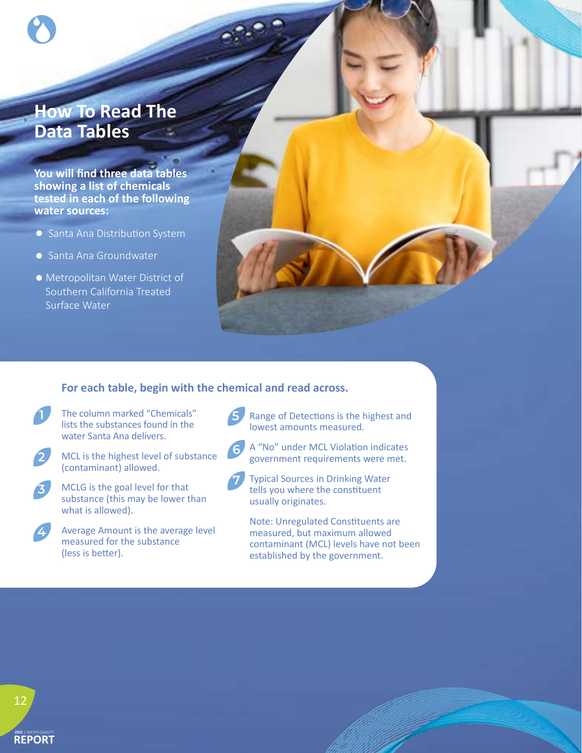## **How To Read The Data Tables**

**You will find three data tables showing a list of chemicals tested in each of the following water sources:**

- Santa Ana Distribution System
- Santa Ana Groundwater
- •Metropolitan Water District of Southern California Treated Surface Water

### **For each table, begin with the chemical and read across.**

- The column marked "Chemicals" **1 5** lists the substances found in the water Santa Ana delivers.
- 

**4**

- MCL is the highest level of substance **<sup>6</sup> <sup>2</sup>** (contaminant) allowed.
- MCLG is the goal level for that substance (this may be lower than what is allowed). **3**
	- Average Amount is the average level measured for the substance (less is better).

Range of Detections is the highest and lowest amounts measured.



**7**

- A "No" under MCL Violation indicates government requirements were met.
- Typical Sources in Drinking Water tells you where the constituent usually originates.
- Note: Unregulated Constituents are measured, but maximum allowed contaminant (MCL) levels have not been established by the government.

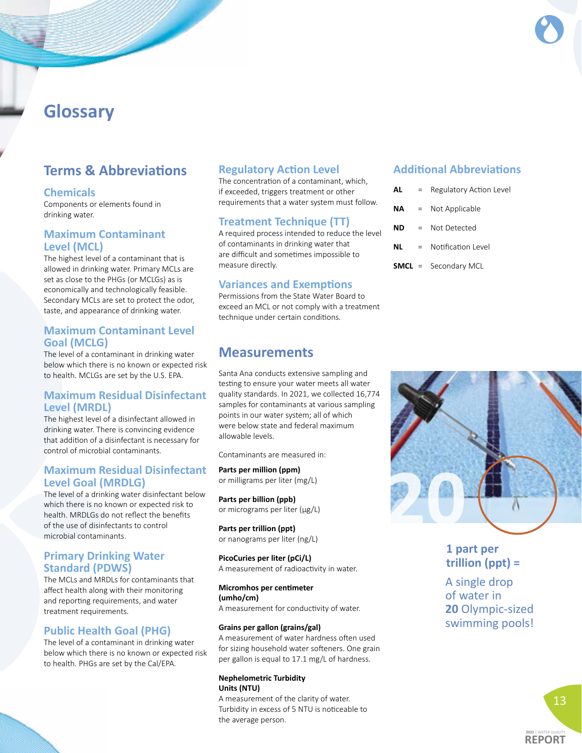## **Glossary**

## **Terms & Abbreviations**

#### **Chemicals**

Components or elements found in drinking water.

### **Maximum Contaminant Level (MCL)**

The highest level of a contaminant that is allowed in drinking water. Primary MCLs are set as close to the PHGs (or MCLGs) as is economically and technologically feasible. Secondary MCLs are set to protect the odor, taste, and appearance of drinking water.

### **Maximum Contaminant Level Goal (MCLG)**

The level of a contaminant in drinking water below which there is no known or expected risk to health. MCLGs are set by the U.S. EPA.

### **Maximum Residual Disinfectant Level (MRDL)**

The highest level of a disinfectant allowed in drinking water. There is convincing evidence that addition of a disinfectant is necessary for control of microbial contaminants.

### **Maximum Residual Disinfectant Level Goal (MRDLG)**

The level of a drinking water disinfectant below which there is no known or expected risk to health. MRDLGs do not reflect the benefits of the use of disinfectants to control microbial contaminants.

### **Primary Drinking Water Standard (PDWS)**

The MCLs and MRDLs for contaminants that affect health along with their monitoring and reporting requirements, and water treatment requirements.

### **Public Health Goal (PHG)**

The level of a contaminant in drinking water below which there is no known or expected risk to health. PHGs are set by the Cal/EPA.

### **Regulatory Action Level**

The concentration of a contaminant, which, if exceeded, triggers treatment or other requirements that a water system must follow.

### **Treatment Technique (TT)**

A required process intended to reduce the level of contaminants in drinking water that are difficult and sometimes impossible to measure directly.

### **Variances and Exemptions**

Permissions from the State Water Board to exceed an MCL or not comply with a treatment technique under certain conditions.

## **Measurements**

Santa Ana conducts extensive sampling and testing to ensure your water meets all water quality standards. In 2021, we collected 16,774 samples for contaminants at various sampling points in our water system; all of which were below state and federal maximum allowable levels.

Contaminants are measured in:

**Parts per million (ppm)** or milligrams per liter (mg/L)

**Parts per billion (ppb)** or micrograms per liter (μg/L)

**Parts per trillion (ppt)** or nanograms per liter (ng/L)

**PicoCuries per liter (pCi/L)** A measurement of radioactivity in water.

**Micromhos per centimeter (umho/cm)** A measurement for conductivity of water.

#### **Grains per gallon (grains/gal)**

A measurement of water hardness often used for sizing household water softeners. One grain per gallon is equal to 17.1 mg/L of hardness.

#### **Nephelometric Turbidity Units (NTU)**

A measurement of the clarity of water. Turbidity in excess of 5 NTU is noticeable to the average person.

### **Additional Abbreviations**

| ΑL | $=$      | Regulatory Action Level |
|----|----------|-------------------------|
| ΝA | $\equiv$ | Not Applicable          |
| ND | $=$      | Not Detected            |
| ΝL | $=$      | Notification Level      |

**SMCL** = Secondary MCL



## **1 part per trillion (ppt) =**

A single drop of water in **20** Olympic-sized swimming pools!

> 13 **2021** | WATER QUALITY

**REPORT**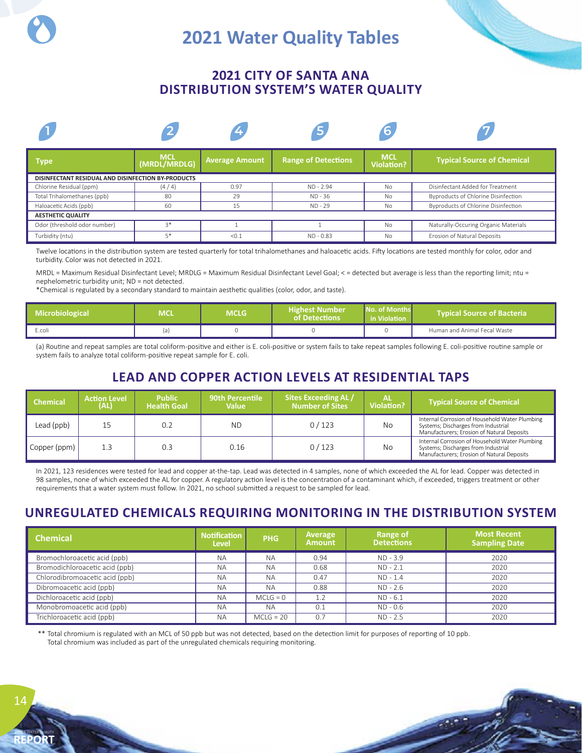# **2021 Water Quality Tables**

## **2021 CITY OF SANTA ANA DISTRIBUTION SYSTEM'S WATER QUALITY**



Twelve locations in the distribution system are tested quarterly for total trihalomethanes and haloacetic acids. Fifty locations are tested monthly for color, odor and turbidity. Color was not detected in 2021.

MRDL = Maximum Residual Disinfectant Level; MRDLG = Maximum Residual Disinfectant Level Goal; < = detected but average is less than the reporting limit; ntu = nephelometric turbidity unit; ND = not detected.

\*Chemical is regulated by a secondary standard to maintain aesthetic qualities (color, odor, and taste). **of Detecons in Violaon**

| <b>Microbiological</b> | MCL | MCLG | Highest Number<br><b>Lof Detections</b> | No. of Months<br>in Violation | l Tvpical Source of Bacteria <b>\</b> |
|------------------------|-----|------|-----------------------------------------|-------------------------------|---------------------------------------|
| E.coli                 |     |      |                                         |                               | Human and Animal Fecal Waste          |

(a) Routine and repeat samples are total coliform-positive and either is E. coli-positive or system fails to take repeat samples following E. coli-positive routine sample or system fails to analyze total coliform-positive repeat sample for E. coli.

## **LEAD AND COPPER ACTION LEVELS AT RESIDENTIAL TAPS**

| <b>Chemical</b>            | <b>Action Level</b><br>(AL) | <b>Public</b><br><b>Health Goal</b> | <b>90th Percentile</b><br><b>Value</b> | <b>Sites Exceeding AL /</b><br><b>Number of Sites</b> | <b>Violation?</b> | <b>Typical Source of Chemical</b>                                                                                                   |
|----------------------------|-----------------------------|-------------------------------------|----------------------------------------|-------------------------------------------------------|-------------------|-------------------------------------------------------------------------------------------------------------------------------------|
| Lead (ppb)                 |                             | 0.2                                 | ND.                                    | 0/123                                                 | No                | Internal Corrosion of Household Water Plumbing<br>Systems; Discharges from Industrial<br>Manufacturers; Erosion of Natural Deposits |
| $\Box$ Copper (ppm) $\Box$ | 1.3                         | 0.3                                 | 0.16                                   | 0/123                                                 | No                | Internal Corrosion of Household Water Plumbing<br>Systems; Discharges from Industrial<br>Manufacturers; Erosion of Natural Deposits |

In 2021, 123 residences were tested for lead and copper at-the-tap. Lead was detected in 4 samples, none of which exceeded the AL for lead. Copper was detected in 98 samples, none of which exceeded the AL for copper. A regulatory action level is the concentration of a contaminant which, if exceeded, triggers treatment or other requirements that a water system must follow. In 2021, no school submitted a request to be sampled for lead.

## **UNREGULATED CHEMICALS REQUIRING MONITORING IN THE DISTRIBUTION SYSTEM**

| <b>Chemical</b>                | <b>Notification</b><br><b>Level</b> | <b>PHG</b>  | Average<br><b>Amount</b> | <b>Range of</b><br><b>Detections</b> | <b>Most Recent</b><br><b>Sampling Date</b> |
|--------------------------------|-------------------------------------|-------------|--------------------------|--------------------------------------|--------------------------------------------|
| Bromochloroacetic acid (ppb)   | <b>NA</b>                           | <b>NA</b>   | 0.94                     | ND - 3.9                             | 2020                                       |
| Bromodichloroacetic acid (ppb) | <b>NA</b>                           | <b>NA</b>   | 0.68                     | $ND - 2.1$                           | 2020                                       |
| Chlorodibromoacetic acid (ppb) | <b>NA</b>                           | <b>NA</b>   | 0.47                     | $ND - 1.4$                           | 2020                                       |
| Dibromoacetic acid (ppb)       | <b>NA</b>                           | <b>NA</b>   | 0.88                     | $ND - 2.6$                           | 2020                                       |
| Dichloroacetic acid (ppb)      | <b>NA</b>                           | $MCLG = 0$  | 1.2                      | $ND - 6.1$                           | 2020                                       |
| Monobromoacetic acid (ppb)     | <b>NA</b>                           | <b>NA</b>   | 0.1                      | $ND - 0.6$                           | 2020                                       |
| Trichloroacetic acid (ppb)     | <b>NA</b>                           | $MCLG = 20$ | 0.7                      | $ND - 2.5$                           | 2020                                       |

 \*\* Total chromium is regulated with an MCL of 50 ppb but was not detected, based on the detection limit for purposes of reporting of 10 ppb. Total chromium was included as part of the unregulated chemicals requiring monitoring.

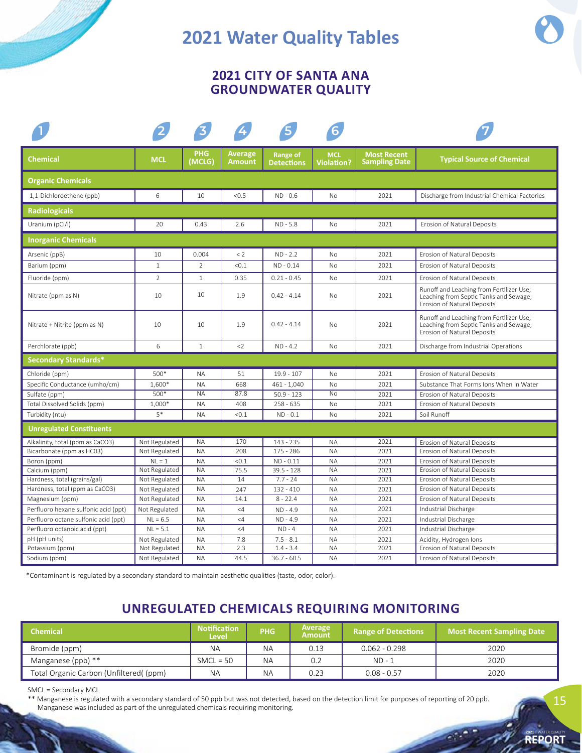# **2021 Water Quality Tables**

## **2021 CITY OF SANTA ANA GROUNDWATER QUALITY**

|                                      |                |                      |                                 | 5                             | $6\overline{6}$                 |                                            |                                                                                                                   |  |  |
|--------------------------------------|----------------|----------------------|---------------------------------|-------------------------------|---------------------------------|--------------------------------------------|-------------------------------------------------------------------------------------------------------------------|--|--|
| Chemical                             | <b>MCL</b>     | <b>PHG</b><br>(MCLG) | <b>Average</b><br><b>Amount</b> | Range of<br><b>Detections</b> | <b>MCL</b><br><b>Violation?</b> | <b>Most Recent</b><br><b>Sampling Date</b> | <b>Typical Source of Chemical</b>                                                                                 |  |  |
| <b>Organic Chemicals</b>             |                |                      |                                 |                               |                                 |                                            |                                                                                                                   |  |  |
| 1,1-Dichloroethene (ppb)             | 6              | 10                   | < 0.5                           | $ND - 0.6$                    | <b>No</b>                       | 2021                                       | Discharge from Industrial Chemical Factories                                                                      |  |  |
| <b>Radiologicals</b>                 |                |                      |                                 |                               |                                 |                                            |                                                                                                                   |  |  |
| Uranium (pCi/l)                      | 20             | 0.43                 | 2.6                             | $ND - 5.8$                    | <b>No</b>                       | 2021                                       | Erosion of Natural Deposits                                                                                       |  |  |
| <b>Inorganic Chemicals</b>           |                |                      |                                 |                               |                                 |                                            |                                                                                                                   |  |  |
| Arsenic (ppB)                        | 10             | 0.004                | < 2                             | $ND - 2.2$                    | <b>No</b>                       | 2021                                       | Erosion of Natural Deposits                                                                                       |  |  |
| Barium (ppm)                         | $\mathbf{1}$   | 2                    | < 0.1                           | $ND - 0.14$                   | <b>No</b>                       | 2021                                       | Erosion of Natural Deposits                                                                                       |  |  |
| Fluoride (ppm)                       | $\overline{2}$ | $\mathbf{1}$         | 0.35                            | $0.21 - 0.45$                 | <b>No</b>                       | 2021                                       | Erosion of Natural Deposits                                                                                       |  |  |
| Nitrate (ppm as N)                   | 10             | 10                   | 1.9                             | $0.42 - 4.14$                 | No                              | 2021                                       | Runoff and Leaching from Fertilizer Use;<br>Leaching from Septic Tanks and Sewage;<br>Erosion of Natural Deposits |  |  |
| Nitrate + Nitrite (ppm as N)         | 10             | 10                   | 1.9                             | $0.42 - 4.14$                 | No                              | 2021                                       | Runoff and Leaching from Fertilizer Use;<br>Leaching from Septic Tanks and Sewage;<br>Erosion of Natural Deposits |  |  |
| Perchlorate (ppb)                    | 6              | $\mathbf{1}$         | $2$                             | $ND - 4.2$                    | <b>No</b>                       | 2021                                       | Discharge from Industrial Operations                                                                              |  |  |
| <b>Secondary Standards*</b>          |                |                      |                                 |                               |                                 |                                            |                                                                                                                   |  |  |
| Chloride (ppm)                       | $500*$         | <b>NA</b>            | 51                              | $19.9 - 107$                  | <b>No</b>                       | 2021                                       | <b>Erosion of Natural Deposits</b>                                                                                |  |  |
| Specific Conductance (umho/cm)       | 1,600*         | <b>NA</b>            | 668                             | $461 - 1,040$                 | <b>No</b>                       | 2021                                       | Substance That Forms Jons When In Water                                                                           |  |  |
| Sulfate (ppm)                        | $500*$         | <b>NA</b>            | 87.8                            | $50.9 - 123$                  | <b>No</b>                       | 2021                                       | <b>Erosion of Natural Deposits</b>                                                                                |  |  |
| Total Dissolved Solids (ppm)         | 1,000*         | <b>NA</b>            | 408                             | $258 - 635$                   | No                              | 2021                                       | Erosion of Natural Deposits                                                                                       |  |  |
| Turbidity (ntu)                      | $5*$           | <b>NA</b>            | < 0.1                           | $ND - 0.1$                    | <b>No</b>                       | 2021                                       | Soil Runoff                                                                                                       |  |  |
| <b>Unregulated Constituents</b>      |                |                      |                                 |                               |                                 |                                            |                                                                                                                   |  |  |
| Alkalinity, total (ppm as CaCO3)     | Not Regulated  | <b>NA</b>            | 170                             | 143 - 235                     | <b>NA</b>                       | 2021                                       | Erosion of Natural Deposits                                                                                       |  |  |
| Bicarbonate (ppm as HC03)            | Not Regulated  | <b>NA</b>            | 208                             | 175 - 286                     | <b>NA</b>                       | 2021                                       | Erosion of Natural Deposits                                                                                       |  |  |
| Boron (ppm)                          | $NL = 1$       | <b>NA</b>            | < 0.1                           | $ND - 0.11$                   | <b>NA</b>                       | 2021                                       | <b>Erosion of Natural Deposits</b>                                                                                |  |  |
| Calcium (ppm)                        | Not Regulated  | <b>NA</b>            | 75.5                            | $39.5 - 128$                  | <b>NA</b>                       | 2021                                       | <b>Erosion of Natural Deposits</b>                                                                                |  |  |
| Hardness, total (grains/gal)         | Not Regulated  | <b>NA</b>            | 14                              | $7.7 - 24$                    | <b>NA</b>                       | 2021                                       | Erosion of Natural Deposits                                                                                       |  |  |
| Hardness, total (ppm as CaCO3)       | Not Regulated  | <b>NA</b>            | 247                             | $132 - 410$                   | <b>NA</b>                       | 2021                                       | <b>Erosion of Natural Deposits</b>                                                                                |  |  |
| Magnesium (ppm)                      | Not Regulated  | <b>NA</b>            | 14.1                            | $8 - 22.4$                    | <b>NA</b>                       | 2021                                       | Erosion of Natural Deposits                                                                                       |  |  |
| Perfluoro hexane sulfonic acid (ppt) | Not Regulated  | <b>NA</b>            | $<$ 4                           | $ND - 4.9$                    | <b>NA</b>                       | 2021                                       | Industrial Discharge                                                                                              |  |  |
| Perfluoro octane sulfonic acid (ppt) | $NL = 6.5$     | <b>NA</b>            | $\leq 4$                        | $ND - 4.9$                    | <b>NA</b>                       | 2021                                       | Industrial Discharge                                                                                              |  |  |
| Perfluoro octanoic acid (ppt)        | $NL = 5.1$     | <b>NA</b>            | $<$ 4                           | $ND - 4$                      | <b>NA</b>                       | 2021                                       | Industrial Discharge                                                                                              |  |  |
| pH (pH units)                        | Not Regulated  | <b>NA</b>            | 7.8                             | $7.5 - 8.1$                   | <b>NA</b>                       | 2021                                       | Acidity, Hydrogen Ions                                                                                            |  |  |
| Potassium (ppm)                      | Not Regulated  | <b>NA</b>            | 2.3                             | $1.4 - 3.4$                   | <b>NA</b>                       | 2021                                       | Erosion of Natural Deposits                                                                                       |  |  |
| Sodium (ppm)                         | Not Regulated  | <b>NA</b>            | 44.5                            | $36.7 - 60.5$                 | <b>NA</b>                       | 2021                                       | Erosion of Natural Deposits                                                                                       |  |  |

\*Contaminant is regulated by a secondary standard to maintain aesthetic qualities (taste, odor, color).

## **UNREGULATED CHEMICALS REQUIRING MONITORING**

| <b>Chemical</b>                        | <b>Notification</b><br><b>Level</b> | <b>PHG</b> | Average<br><b>Amount</b> | <b>Range of Detections</b> | <b>Most Recent Sampling Date</b> |
|----------------------------------------|-------------------------------------|------------|--------------------------|----------------------------|----------------------------------|
| Bromide (ppm)                          | <b>NA</b>                           | <b>NA</b>  | 0.13                     | $0.062 - 0.298$            | 2020                             |
| Manganese (ppb) **                     | $SMCL = 50$                         | <b>NA</b>  | 0.2                      | $ND - 1$                   | 2020                             |
| Total Organic Carbon (Unfiltered((ppm) | <b>NA</b>                           | <b>NA</b>  | 0.23                     | $0.08 - 0.57$              | 2020                             |

SMCL = Secondary MCL

 \*\* Manganese is regulated with a secondary standard of 50 ppb but was not detected, based on the detection limit for purposes of reporting of 20 ppb. Manganese was included as part of the unregulated chemicals requiring monitoring.

**2021** | WATER QUALITY **REPORT**

15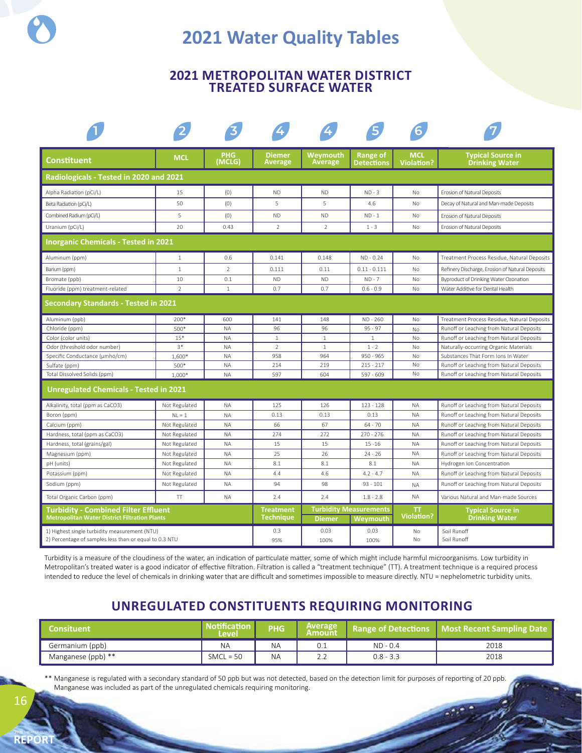# **2021 Water Quality Tables**

### **2021 METROPOLITAN WATER DISTRICT TREATED SURFACE WATER**

| <b>Constituent</b>                                                                                      | <b>MCL</b>     | PHG.<br>(MCLG) | <b>Diemer</b><br>Average             | Weymouth<br><b>Average</b> | Range of<br><b>Detections</b>                    | <b>MCL</b><br><b>Violation?</b> | <b>Typical Source in</b><br><b>Drinking Water</b> |
|---------------------------------------------------------------------------------------------------------|----------------|----------------|--------------------------------------|----------------------------|--------------------------------------------------|---------------------------------|---------------------------------------------------|
| Radiologicals - Tested in 2020 and 2021                                                                 |                |                |                                      |                            |                                                  |                                 |                                                   |
| Alpha Radiation (pCi/L)                                                                                 | 15             | (0)            | <b>ND</b>                            | <b>ND</b>                  | $ND - 3$                                         | No                              | Erosion of Natural Deposits                       |
| Beta Radiation (pCi/L)                                                                                  | 50             | (0)            | 5                                    | 5                          | 4.6                                              | <b>No</b>                       | Decay of Natural and Man-made Deposits            |
| Combined Radium (pCi/L)                                                                                 | 5              | (0)            | <b>ND</b>                            | <b>ND</b>                  | $ND - 1$                                         | No                              | Erosion of Natural Deposits                       |
| Uranium (pCi/L)                                                                                         | 20             | 0.43           | $\overline{2}$                       | $\mathcal{P}$              | $1 - 3$                                          | <b>No</b>                       | Erosion of Natural Deposits                       |
| <b>Inorganic Chemicals - Tested in 2021</b>                                                             |                |                |                                      |                            |                                                  |                                 |                                                   |
| Aluminum (ppm)                                                                                          | $\mathbf{1}$   | 0.6            | 0.141                                | 0.148                      | $ND - 0.24$                                      | No                              | Treatment Process Residue, Natural Deposits       |
| Barium (ppm)                                                                                            | $\mathbf{1}$   | $\overline{2}$ | 0.111                                | 0.11                       | $0.11 - 0.111$                                   | No                              | Refinery Discharge, Erosion of Natural Deposits   |
| Bromate (ppb)                                                                                           | 10             | 0.1            | <b>ND</b>                            | <b>ND</b>                  | $ND - 7$                                         | No                              | Byproduct of Drinking Water Ozonation             |
| Fluoride (ppm) treatment-related                                                                        | $\overline{2}$ | $\mathbf{1}$   | 0.7                                  | 0.7                        | $0.6 - 0.9$                                      | No                              | Water Additive for Dental Health                  |
| Secondary Standards - Tested in 2021                                                                    |                |                |                                      |                            |                                                  |                                 |                                                   |
| Aluminum (ppb)                                                                                          | 200*           | 600            | 141                                  | 148                        | ND - 260                                         | No                              | Treatment Process Residue, Natural Deposits       |
| Chloride (ppm)                                                                                          | 500*           | <b>NA</b>      | 96                                   | 96                         | $95 - 97$                                        | No                              | Runoff or Leaching from Natural Deposits          |
| Color (color units)                                                                                     | $15*$          | <b>NA</b>      | $\mathbf{1}$                         | $1\,$                      | $\mathbf{1}$                                     | No                              | Runoff or Leaching from Natural Deposits          |
| Odor (threshold odor number)                                                                            | $3*$           | <b>NA</b>      | $\overline{2}$                       | $\mathbf{1}$               | $1 - 2$                                          | <b>No</b>                       | Naturally-occurring Organic Materials             |
| Specific Conductance (µmho/cm)                                                                          | 1,600*         | <b>NA</b>      | 958                                  | 964                        | $950 - 965$                                      | No                              | Substances That Form Ions In Water                |
| Sulfate (ppm)                                                                                           | 500*           | <b>NA</b>      | 214                                  | 219                        | $215 - 217$                                      | No                              | Runoff or Leaching from Natural Deposits          |
| Total Dissolved Solids (ppm)                                                                            | $1,000*$       | <b>NA</b>      | 597                                  | 604                        | 597 - 609                                        | No                              | Runoff or Leaching from Natural Deposits          |
| <b>Unregulated Chemicals - Tested in 2021</b>                                                           |                |                |                                      |                            |                                                  |                                 |                                                   |
| Alkalinity, total (ppm as CaCO3)                                                                        | Not Regulated  | <b>NA</b>      | 125                                  | 126                        | $123 - 128$                                      | <b>NA</b>                       | Runoff or Leaching from Natural Deposits          |
| Boron (ppm)                                                                                             | $NL = 1$       | <b>NA</b>      | 0.13                                 | 0.13                       | 0.13                                             | <b>NA</b>                       | Runoff or Leaching from Natural Deposits          |
| Calcium (ppm)                                                                                           | Not Regulated  | <b>NA</b>      | 66                                   | 67                         | $64 - 70$                                        | <b>NA</b>                       | Runoff or Leaching from Natural Deposits          |
| Hardness, total (ppm as CaCO3)                                                                          | Not Regulated  | <b>NA</b>      | 274                                  | 272                        | $270 - 276$                                      | <b>NA</b>                       | Runoff or Leaching from Natural Deposits          |
| Hardness, total (grains/gal)                                                                            | Not Regulated  | <b>NA</b>      | 15                                   | 15                         | $15 - 16$                                        | <b>NA</b>                       | Runoff or Leaching from Natural Deposits          |
| Magnesium (ppm)                                                                                         | Not Regulated  | <b>NA</b>      | 25                                   | 26                         | $24 - 26$                                        | <b>NA</b>                       | Runoff or Leaching from Natural Deposits          |
| pH (units)                                                                                              | Not Regulated  | <b>NA</b>      | 8.1                                  | 8.1                        | 8.1                                              | <b>NA</b>                       | Hydrogen Ion Concentration                        |
| Potassium (ppm)                                                                                         | Not Regulated  | <b>NA</b>      | 4.4                                  | 4.6                        | $4.2 - 4.7$                                      | <b>NA</b>                       | Runoff or Leaching from Natural Deposits          |
| Sodium (ppm)                                                                                            | Not Regulated  | <b>NA</b>      | 94                                   | 98                         | $93 - 101$                                       | <b>NA</b>                       | Runoff or Leaching from Natural Deposits          |
| Total Organic Carbon (ppm)                                                                              | T              | <b>NA</b>      | 2.4                                  | 2.4                        | $1.8 - 2.8$                                      | <b>NA</b>                       | Various Natural and Man-made Sources              |
| <b>Turbidity - Combined Filter Effluent</b><br><b>Metropolitan Water District Filtration Plants</b>     |                |                | <b>Treatment</b><br><b>Technique</b> | <b>Diemer</b>              | <b>Turbidity Measurements</b><br><b>Weymouth</b> | ТT<br><b>Violation?</b>         | <b>Typical Source in</b><br><b>Drinking Water</b> |
| 1) Highest single turbidity measurement (NTU)<br>2) Percentage of samples less than or equal to 0.3 NTU |                |                | 0.3<br>95%                           | 0.03<br>100%               | 0.03<br>100%                                     | No<br>No                        | Soil Runoff<br>Soil Runoff                        |

Turbidity is a measure of the cloudiness of the water, an indication of particulate matter, some of which might include harmful microorganisms. Low turbidity in Metropolitan's treated water is a good indicator of effective filtration. Filtration is called a "treatment technique" (TT). A treatment technique is a required process intended to reduce the level of chemicals in drinking water that are difficult and sometimes impossible to measure directly. NTU = nephelometric turbidity units.

## **UNREGULATED CONSTITUENTS REQUIRING MONITORING**

| Consituent'        | <b>Notification</b><br>Level | <b>PHG</b> | <b>Average</b><br><b>Amount</b>                |             | <b>Range of Detections   Most Recent Sampling Date  </b> |
|--------------------|------------------------------|------------|------------------------------------------------|-------------|----------------------------------------------------------|
| Germanium (ppb)    | <b>NA</b>                    | ΝA         | v.i                                            | $ND - 0.4$  | 2018                                                     |
| Manganese (ppb) ** | $SMCL = 50$                  | <b>NA</b>  | $\sim$ $\sim$<br>$\mathcal{L}$ . $\mathcal{L}$ | $0.8 - 3.3$ | 2018                                                     |

\*\* Manganese is regulated with a secondary standard of 50 ppb but was not detected, based on the detection limit for purposes of reporting of 20 ppb. Manganese was included as part of the unregulated chemicals requiring monitoring.

**2021** | WATER QUALITY **REPORT**